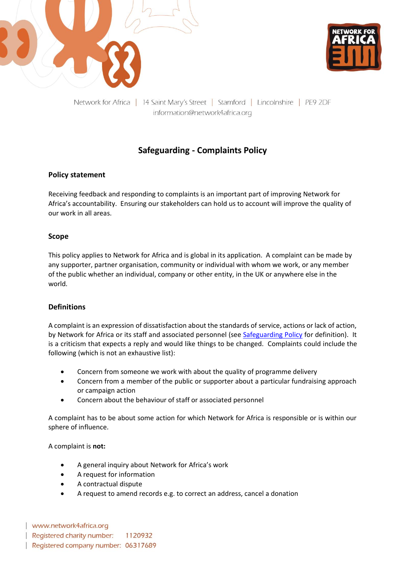



Network for Africa | 14 Saint Mary's Street | Stamford | Lincolnshire | PE9 2DF information@network4africa.org

# **Safeguarding - Complaints Policy**

# **Policy statement**

Receiving feedback and responding to complaints is an important part of improving Network for Africa's accountability. Ensuring our stakeholders can hold us to account will improve the quality of our work in all areas.

## **Scope**

This policy applies to Network for Africa and is global in its application. A complaint can be made by any supporter, partner organisation, community or individual with whom we work, or any member of the public whether an individual, company or other entity, in the UK or anywhere else in the world.

## **Definitions**

A complaint is an expression of dissatisfaction about the standards of service, actions or lack of action, by Network for Africa or its staff and associated personnel (see [Safeguarding Policy](https://network4africa.org/wp-content/uploads/2022/06/safeguarding-policy.pdf) for definition). It is a criticism that expects a reply and would like things to be changed. Complaints could include the following (which is not an exhaustive list):

- Concern from someone we work with about the quality of programme delivery
- Concern from a member of the public or supporter about a particular fundraising approach or campaign action
- Concern about the behaviour of staff or associated personnel

A complaint has to be about some action for which Network for Africa is responsible or is within our sphere of influence.

A complaint is **not:**

- A general inquiry about Network for Africa's work
- A request for information
- A contractual dispute
- A request to amend records e.g. to correct an address, cancel a donation

www.network4africa.org Registered charity number: 1120932 Registered company number: 06317689